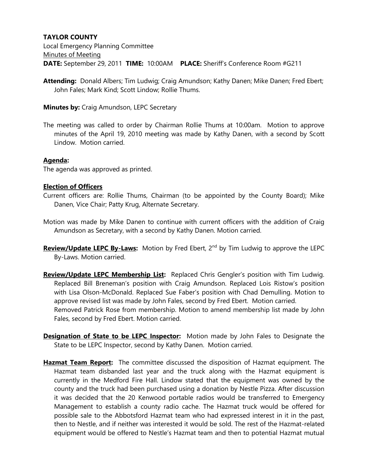## **TAYLOR COUNTY**

Local Emergency Planning Committee Minutes of Meeting **DATE:** September 29, 2011 **TIME:** 10:00AM **PLACE:** Sheriff's Conference Room #G211

**Attending:** Donald Albers; Tim Ludwig; Craig Amundson; Kathy Danen; Mike Danen; Fred Ebert; John Fales; Mark Kind; Scott Lindow; Rollie Thums.

**Minutes by:** Craig Amundson, LEPC Secretary

The meeting was called to order by Chairman Rollie Thums at 10:00am. Motion to approve minutes of the April 19, 2010 meeting was made by Kathy Danen, with a second by Scott Lindow. Motion carried.

## **Agenda:**

The agenda was approved as printed.

## **Election of Officers**

- Current officers are: Rollie Thums, Chairman (to be appointed by the County Board); Mike Danen, Vice Chair; Patty Krug, Alternate Secretary.
- Motion was made by Mike Danen to continue with current officers with the addition of Craig Amundson as Secretary, with a second by Kathy Danen. Motion carried.
- **Review/Update LEPC By-Laws:** Motion by Fred Ebert, 2<sup>nd</sup> by Tim Ludwig to approve the LEPC By-Laws. Motion carried.
- **Review/Update LEPC Membership List:** Replaced Chris Gengler's position with Tim Ludwig. Replaced Bill Breneman's position with Craig Amundson. Replaced Lois Ristow's position with Lisa Olson-McDonald. Replaced Sue Faber's position with Chad Demulling. Motion to approve revised list was made by John Fales, second by Fred Ebert. Motion carried. Removed Patrick Rose from membership. Motion to amend membership list made by John Fales, second by Fred Ebert. Motion carried.
- **Designation of State to be LEPC Inspector:** Motion made by John Fales to Designate the State to be LEPC Inspector, second by Kathy Danen. Motion carried.
- **Hazmat Team Report:** The committee discussed the disposition of Hazmat equipment. The Hazmat team disbanded last year and the truck along with the Hazmat equipment is currently in the Medford Fire Hall. Lindow stated that the equipment was owned by the county and the truck had been purchased using a donation by Nestle Pizza. After discussion it was decided that the 20 Kenwood portable radios would be transferred to Emergency Management to establish a county radio cache. The Hazmat truck would be offered for possible sale to the Abbotsford Hazmat team who had expressed interest in it in the past, then to Nestle, and if neither was interested it would be sold. The rest of the Hazmat-related equipment would be offered to Nestle's Hazmat team and then to potential Hazmat mutual